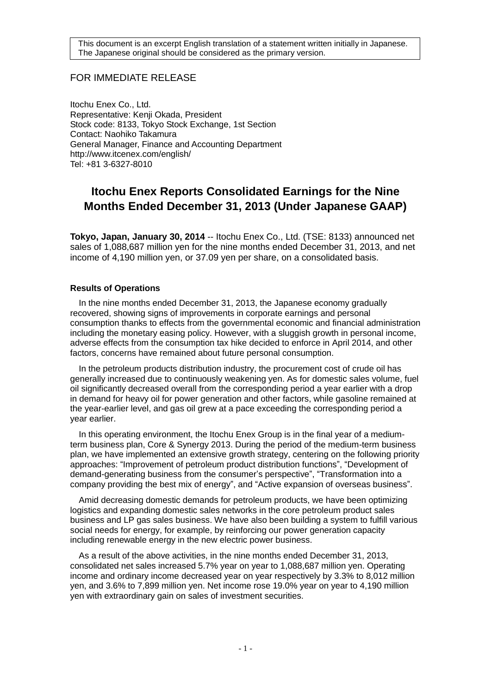## FOR IMMEDIATE RELEASE

Itochu Enex Co., Ltd. Representative: Kenji Okada, President Stock code: 8133, Tokyo Stock Exchange, 1st Section Contact: Naohiko Takamura General Manager, Finance and Accounting Department http://www.itcenex.com/english/ Tel: +81 3-6327-8010

# **Itochu Enex Reports Consolidated Earnings for the Nine Months Ended December 31, 2013 (Under Japanese GAAP)**

**Tokyo, Japan, January 30, 2014** -- Itochu Enex Co., Ltd. (TSE: 8133) announced net sales of 1,088,687 million yen for the nine months ended December 31, 2013, and net income of 4,190 million yen, or 37.09 yen per share, on a consolidated basis.

## **Results of Operations**

In the nine months ended December 31, 2013, the Japanese economy gradually recovered, showing signs of improvements in corporate earnings and personal consumption thanks to effects from the governmental economic and financial administration including the monetary easing policy. However, with a sluggish growth in personal income, adverse effects from the consumption tax hike decided to enforce in April 2014, and other factors, concerns have remained about future personal consumption.

In the petroleum products distribution industry, the procurement cost of crude oil has generally increased due to continuously weakening yen. As for domestic sales volume, fuel oil significantly decreased overall from the corresponding period a year earlier with a drop in demand for heavy oil for power generation and other factors, while gasoline remained at the year-earlier level, and gas oil grew at a pace exceeding the corresponding period a year earlier.

In this operating environment, the Itochu Enex Group is in the final year of a mediumterm business plan, Core & Synergy 2013. During the period of the medium-term business plan, we have implemented an extensive growth strategy, centering on the following priority approaches: "Improvement of petroleum product distribution functions", "Development of demand-generating business from the consumer's perspective", "Transformation into a company providing the best mix of energy", and "Active expansion of overseas business".

Amid decreasing domestic demands for petroleum products, we have been optimizing logistics and expanding domestic sales networks in the core petroleum product sales business and LP gas sales business. We have also been building a system to fulfill various social needs for energy, for example, by reinforcing our power generation capacity including renewable energy in the new electric power business.

As a result of the above activities, in the nine months ended December 31, 2013, consolidated net sales increased 5.7% year on year to 1,088,687 million yen. Operating income and ordinary income decreased year on year respectively by 3.3% to 8,012 million yen, and 3.6% to 7,899 million yen. Net income rose 19.0% year on year to 4,190 million yen with extraordinary gain on sales of investment securities.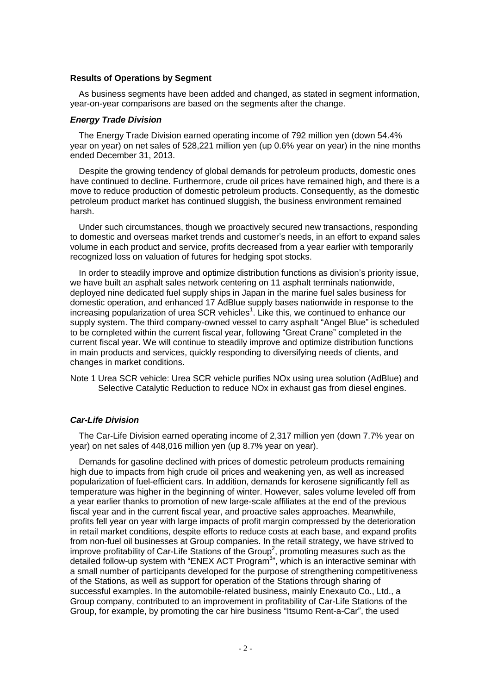#### **Results of Operations by Segment**

As business segments have been added and changed, as stated in segment information, year-on-year comparisons are based on the segments after the change.

#### *Energy Trade Division*

The Energy Trade Division earned operating income of 792 million yen (down 54.4% year on year) on net sales of 528,221 million yen (up 0.6% year on year) in the nine months ended December 31, 2013.

Despite the growing tendency of global demands for petroleum products, domestic ones have continued to decline. Furthermore, crude oil prices have remained high, and there is a move to reduce production of domestic petroleum products. Consequently, as the domestic petroleum product market has continued sluggish, the business environment remained harsh.

Under such circumstances, though we proactively secured new transactions, responding to domestic and overseas market trends and customer's needs, in an effort to expand sales volume in each product and service, profits decreased from a year earlier with temporarily recognized loss on valuation of futures for hedging spot stocks.

In order to steadily improve and optimize distribution functions as division's priority issue, we have built an asphalt sales network centering on 11 asphalt terminals nationwide, deployed nine dedicated fuel supply ships in Japan in the marine fuel sales business for domestic operation, and enhanced 17 AdBlue supply bases nationwide in response to the increasing popularization of urea SCR vehicles<sup>1</sup>. Like this, we continued to enhance our supply system. The third company-owned vessel to carry asphalt "Angel Blue" is scheduled to be completed within the current fiscal year, following "Great Crane" completed in the current fiscal year. We will continue to steadily improve and optimize distribution functions in main products and services, quickly responding to diversifying needs of clients, and changes in market conditions.

Note 1 Urea SCR vehicle: Urea SCR vehicle purifies NOx using urea solution (AdBlue) and Selective Catalytic Reduction to reduce NOx in exhaust gas from diesel engines.

### *Car-Life Division*

The Car-Life Division earned operating income of 2,317 million yen (down 7.7% year on year) on net sales of 448,016 million yen (up 8.7% year on year).

Demands for gasoline declined with prices of domestic petroleum products remaining high due to impacts from high crude oil prices and weakening yen, as well as increased popularization of fuel-efficient cars. In addition, demands for kerosene significantly fell as temperature was higher in the beginning of winter. However, sales volume leveled off from a year earlier thanks to promotion of new large-scale affiliates at the end of the previous fiscal year and in the current fiscal year, and proactive sales approaches. Meanwhile, profits fell year on year with large impacts of profit margin compressed by the deterioration in retail market conditions, despite efforts to reduce costs at each base, and expand profits from non-fuel oil businesses at Group companies. In the retail strategy, we have strived to improve profitability of Car-Life Stations of the Group<sup>2</sup>, promoting measures such as the detailed follow-up system with "ENEX ACT Program<sup>3</sup>", which is an interactive seminar with a small number of participants developed for the purpose of strengthening competitiveness of the Stations, as well as support for operation of the Stations through sharing of successful examples. In the automobile-related business, mainly Enexauto Co., Ltd., a Group company, contributed to an improvement in profitability of Car-Life Stations of the Group, for example, by promoting the car hire business "Itsumo Rent-a-Car", the used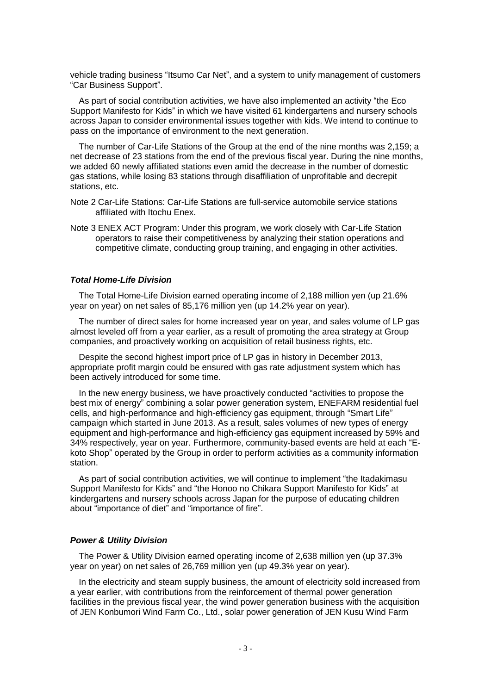vehicle trading business "Itsumo Car Net", and a system to unify management of customers "Car Business Support".

As part of social contribution activities, we have also implemented an activity "the Eco Support Manifesto for Kids" in which we have visited 61 kindergartens and nursery schools across Japan to consider environmental issues together with kids. We intend to continue to pass on the importance of environment to the next generation.

The number of Car-Life Stations of the Group at the end of the nine months was 2,159; a net decrease of 23 stations from the end of the previous fiscal year. During the nine months, we added 60 newly affiliated stations even amid the decrease in the number of domestic gas stations, while losing 83 stations through disaffiliation of unprofitable and decrepit stations, etc.

- Note 2 Car-Life Stations: Car-Life Stations are full-service automobile service stations affiliated with Itochu Enex.
- Note 3 ENEX ACT Program: Under this program, we work closely with Car-Life Station operators to raise their competitiveness by analyzing their station operations and competitive climate, conducting group training, and engaging in other activities.

### *Total Home-Life Division*

The Total Home-Life Division earned operating income of 2,188 million yen (up 21.6% year on year) on net sales of 85,176 million yen (up 14.2% year on year).

The number of direct sales for home increased year on year, and sales volume of LP gas almost leveled off from a year earlier, as a result of promoting the area strategy at Group companies, and proactively working on acquisition of retail business rights, etc.

Despite the second highest import price of LP gas in history in December 2013, appropriate profit margin could be ensured with gas rate adjustment system which has been actively introduced for some time.

In the new energy business, we have proactively conducted "activities to propose the best mix of energy" combining a solar power generation system, ENEFARM residential fuel cells, and high-performance and high-efficiency gas equipment, through "Smart Life" campaign which started in June 2013. As a result, sales volumes of new types of energy equipment and high-performance and high-efficiency gas equipment increased by 59% and 34% respectively, year on year. Furthermore, community-based events are held at each "Ekoto Shop" operated by the Group in order to perform activities as a community information station.

As part of social contribution activities, we will continue to implement "the Itadakimasu Support Manifesto for Kids" and "the Honoo no Chikara Support Manifesto for Kids" at kindergartens and nursery schools across Japan for the purpose of educating children about "importance of diet" and "importance of fire".

## *Power & Utility Division*

The Power & Utility Division earned operating income of 2,638 million yen (up 37.3% year on year) on net sales of 26,769 million yen (up 49.3% year on year).

In the electricity and steam supply business, the amount of electricity sold increased from a year earlier, with contributions from the reinforcement of thermal power generation facilities in the previous fiscal year, the wind power generation business with the acquisition of JEN Konbumori Wind Farm Co., Ltd., solar power generation of JEN Kusu Wind Farm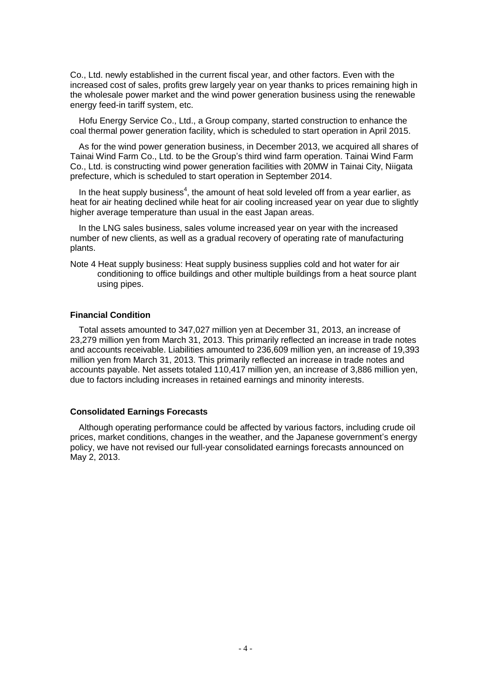Co., Ltd. newly established in the current fiscal year, and other factors. Even with the increased cost of sales, profits grew largely year on year thanks to prices remaining high in the wholesale power market and the wind power generation business using the renewable energy feed-in tariff system, etc.

Hofu Energy Service Co., Ltd., a Group company, started construction to enhance the coal thermal power generation facility, which is scheduled to start operation in April 2015.

As for the wind power generation business, in December 2013, we acquired all shares of Tainai Wind Farm Co., Ltd. to be the Group's third wind farm operation. Tainai Wind Farm Co., Ltd. is constructing wind power generation facilities with 20MW in Tainai City, Niigata prefecture, which is scheduled to start operation in September 2014.

In the heat supply business<sup>4</sup>, the amount of heat sold leveled off from a year earlier, as heat for air heating declined while heat for air cooling increased year on year due to slightly higher average temperature than usual in the east Japan areas.

In the LNG sales business, sales volume increased year on year with the increased number of new clients, as well as a gradual recovery of operating rate of manufacturing plants.

Note 4 Heat supply business: Heat supply business supplies cold and hot water for air conditioning to office buildings and other multiple buildings from a heat source plant using pipes.

### **Financial Condition**

Total assets amounted to 347,027 million yen at December 31, 2013, an increase of 23,279 million yen from March 31, 2013. This primarily reflected an increase in trade notes and accounts receivable. Liabilities amounted to 236,609 million yen, an increase of 19,393 million yen from March 31, 2013. This primarily reflected an increase in trade notes and accounts payable. Net assets totaled 110,417 million yen, an increase of 3,886 million yen, due to factors including increases in retained earnings and minority interests.

#### **Consolidated Earnings Forecasts**

Although operating performance could be affected by various factors, including crude oil prices, market conditions, changes in the weather, and the Japanese government's energy policy, we have not revised our full-year consolidated earnings forecasts announced on May 2, 2013.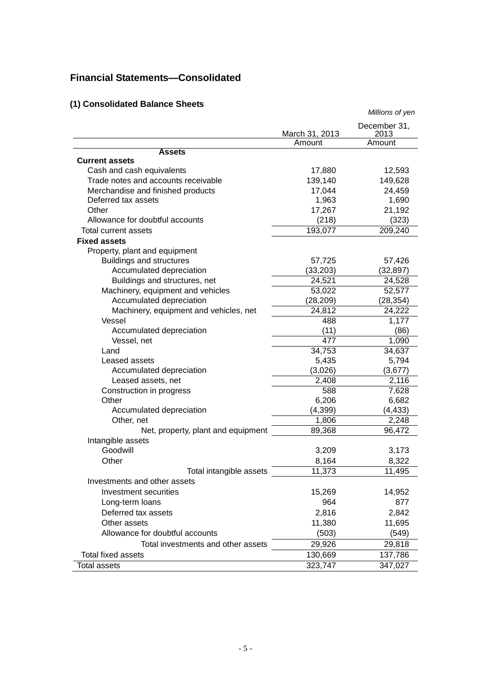## **Financial Statements—Consolidated**

## **(1) Consolidated Balance Sheets**

|                                        |                | Millions of yen |
|----------------------------------------|----------------|-----------------|
|                                        |                | December 31,    |
|                                        | March 31, 2013 | 2013            |
|                                        | Amount         | Amount          |
| <b>Assets</b><br><b>Current assets</b> |                |                 |
| Cash and cash equivalents              | 17,880         | 12,593          |
| Trade notes and accounts receivable    | 139,140        | 149,628         |
| Merchandise and finished products      | 17,044         | 24,459          |
| Deferred tax assets                    | 1,963          | 1,690           |
| Other                                  | 17,267         | 21,192          |
| Allowance for doubtful accounts        | (218)          | (323)           |
| <b>Total current assets</b>            | 193,077        | 209,240         |
| <b>Fixed assets</b>                    |                |                 |
| Property, plant and equipment          |                |                 |
| <b>Buildings and structures</b>        | 57,725         | 57,426          |
| Accumulated depreciation               | (33,203)       | (32,897)        |
| Buildings and structures, net          | 24,521         | 24,528          |
| Machinery, equipment and vehicles      | 53,022         | 52,577          |
| Accumulated depreciation               | (28,209)       | (28, 354)       |
| Machinery, equipment and vehicles, net | 24,812         | 24,222          |
| Vessel                                 | 488            | 1,177           |
| Accumulated depreciation               | (11)           | (86)            |
| Vessel, net                            | 477            | 1,090           |
| Land                                   | 34,753         | 34,637          |
| Leased assets                          | 5,435          | 5,794           |
| Accumulated depreciation               | (3,026)        | (3,677)         |
| Leased assets, net                     | 2,408          | 2,116           |
| Construction in progress               | 588            | 7,628           |
| Other                                  | 6,206          | 6,682           |
| Accumulated depreciation               | (4, 399)       | (4, 433)        |
| Other, net                             | 1,806          | 2,248           |
| Net, property, plant and equipment     | 89,368         | 96,472          |
| Intangible assets                      | 3,209          |                 |
| Goodwill                               |                | 3,173           |
| Other                                  | 8,164          | 8,322           |
| Total intangible assets                | 11,373         | 11,495          |
| Investments and other assets           |                |                 |
| Investment securities                  | 15,269         | 14,952          |
| Long-term loans                        | 964            | 877             |
| Deferred tax assets                    | 2,816          | 2,842           |
| Other assets                           | 11,380         | 11,695          |
| Allowance for doubtful accounts        | (503)          | (549)           |
| Total investments and other assets     | 29,926         | 29,818          |
| Total fixed assets                     | 130,669        | 137,786         |
| <b>Total assets</b>                    | 323,747        | 347,027         |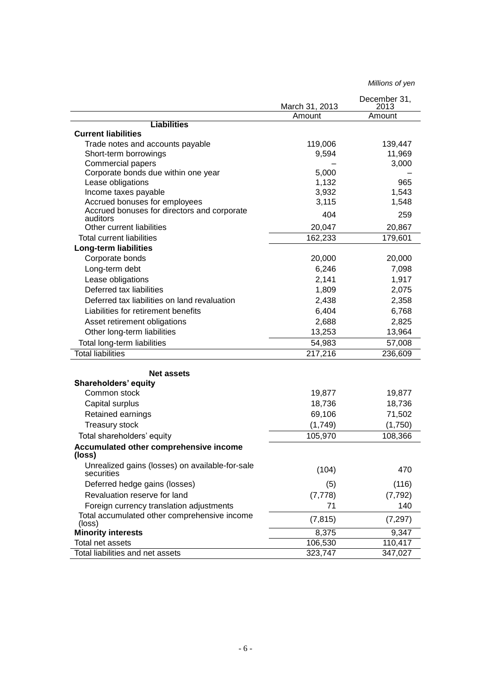*Millions of yen*

|                                                                              | March 31, 2013 | December 31,<br>2013 |
|------------------------------------------------------------------------------|----------------|----------------------|
|                                                                              | Amount         | Amount               |
| <b>Liabilities</b>                                                           |                |                      |
| <b>Current liabilities</b>                                                   |                |                      |
| Trade notes and accounts payable                                             | 119,006        | 139,447              |
| Short-term borrowings                                                        | 9,594          | 11,969               |
| Commercial papers                                                            |                | 3,000                |
| Corporate bonds due within one year                                          | 5,000          |                      |
| Lease obligations                                                            | 1,132          | 965                  |
| Income taxes payable                                                         | 3,932          | 1,543                |
| Accrued bonuses for employees<br>Accrued bonuses for directors and corporate | 3,115          | 1,548                |
| auditors                                                                     | 404            | 259                  |
| Other current liabilities                                                    | 20,047         | 20,867               |
| <b>Total current liabilities</b>                                             | 162,233        | 179,601              |
| <b>Long-term liabilities</b>                                                 |                |                      |
| Corporate bonds                                                              | 20,000         | 20,000               |
| Long-term debt                                                               | 6,246          | 7,098                |
| Lease obligations                                                            | 2,141          | 1,917                |
| Deferred tax liabilities                                                     | 1,809          | 2,075                |
| Deferred tax liabilities on land revaluation                                 | 2,438          | 2,358                |
| Liabilities for retirement benefits                                          | 6,404          | 6,768                |
| Asset retirement obligations                                                 | 2,688          | 2,825                |
| Other long-term liabilities                                                  | 13,253         | 13,964               |
| Total long-term liabilities                                                  | 54,983         | 57,008               |
| <b>Total liabilities</b>                                                     | 217,216        | 236,609              |
|                                                                              |                |                      |
| <b>Net assets</b>                                                            |                |                      |
| <b>Shareholders' equity</b>                                                  |                |                      |
| Common stock                                                                 | 19,877         | 19,877               |
| Capital surplus                                                              | 18,736         | 18,736               |
| Retained earnings                                                            | 69,106         | 71,502               |
| <b>Treasury stock</b>                                                        | (1,749)        | (1,750)              |
| Total shareholders' equity                                                   | 105,970        | 108,366              |
| Accumulated other comprehensive income<br>(loss)                             |                |                      |
| Unrealized gains (losses) on available-for-sale<br>securities                | (104)          | 470                  |
| Deferred hedge gains (losses)                                                | (5)            | (116)                |
| Revaluation reserve for land                                                 | (7, 778)       | (7, 792)             |
| Foreign currency translation adjustments                                     | 71             | 140                  |
| Total accumulated other comprehensive income                                 |                |                      |
| (loss)                                                                       | (7, 815)       | (7, 297)             |
| <b>Minority interests</b>                                                    | 8,375          | 9,347                |
| Total net assets                                                             | 106,530        | 110,417              |
| Total liabilities and net assets                                             | 323,747        | 347,027              |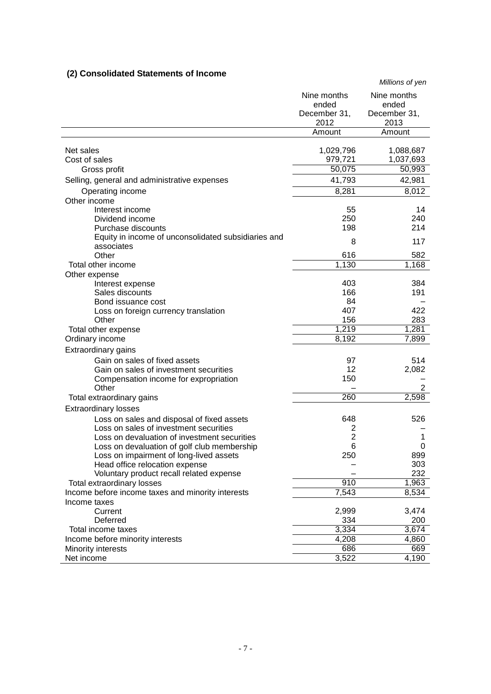## **(2) Consolidated Statements of Income**

| onsonaaloa olalonionts or mo                        |                                              | Millions of yen                              |
|-----------------------------------------------------|----------------------------------------------|----------------------------------------------|
|                                                     | Nine months<br>ended<br>December 31,<br>2012 | Nine months<br>ended<br>December 31,<br>2013 |
|                                                     | Amount                                       | Amount                                       |
| Net sales                                           | 1,029,796                                    | 1,088,687                                    |
| Cost of sales                                       | 979,721                                      | 1,037,693                                    |
| Gross profit                                        | 50,075                                       | 50,993                                       |
| Selling, general and administrative expenses        | 41,793                                       | 42,981                                       |
| Operating income                                    | 8,281                                        | 8,012                                        |
| Other income                                        |                                              |                                              |
| Interest income                                     | 55                                           | 14                                           |
| Dividend income                                     | 250                                          | 240                                          |
| Purchase discounts                                  | 198                                          | 214                                          |
| Equity in income of unconsolidated subsidiaries and |                                              |                                              |
| associates                                          | 8                                            | 117                                          |
| Other                                               | 616                                          | 582                                          |
| Total other income                                  | 1,130                                        | 1,168                                        |
| Other expense                                       |                                              |                                              |
| Interest expense                                    | 403                                          | 384                                          |
| Sales discounts                                     | 166                                          | 191                                          |
| Bond issuance cost                                  | 84                                           |                                              |
| Loss on foreign currency translation                | 407                                          | 422                                          |
| Other                                               | 156                                          | 283                                          |
| Total other expense                                 | 1,219                                        | 1,281                                        |
| Ordinary income                                     | 8,192                                        | 7,899                                        |
| Extraordinary gains                                 |                                              |                                              |
| Gain on sales of fixed assets                       | 97                                           | 514                                          |
| Gain on sales of investment securities              | 12                                           | 2,082                                        |
| Compensation income for expropriation               | 150                                          |                                              |
| Other                                               |                                              | $\overline{2}$                               |
| Total extraordinary gains                           | 260                                          | 2,598                                        |
| <b>Extraordinary losses</b>                         |                                              |                                              |
| Loss on sales and disposal of fixed assets          | 648                                          | 526                                          |
| Loss on sales of investment securities              | 2                                            |                                              |
| Loss on devaluation of investment securities        | 2                                            | 1                                            |
| Loss on devaluation of golf club membership         | $6\phantom{1}6$                              | $\mathbf 0$                                  |
| Loss on impairment of long-lived assets             | 250                                          | 899                                          |
| Head office relocation expense                      |                                              | 303                                          |
| Voluntary product recall related expense            |                                              | 232                                          |
| Total extraordinary losses                          | 910                                          | 1,963                                        |
| Income before income taxes and minority interests   | 7,543                                        | 8,534                                        |
| Income taxes                                        |                                              |                                              |
| Current                                             | 2,999                                        | 3,474                                        |
| Deferred                                            | 334                                          | 200                                          |
| Total income taxes                                  | 3,334                                        | 3,674                                        |
| Income before minority interests                    | 4,208                                        | 4,860                                        |
| Minority interests                                  | 686                                          | 669                                          |
| Net income                                          | 3,522                                        | 4,190                                        |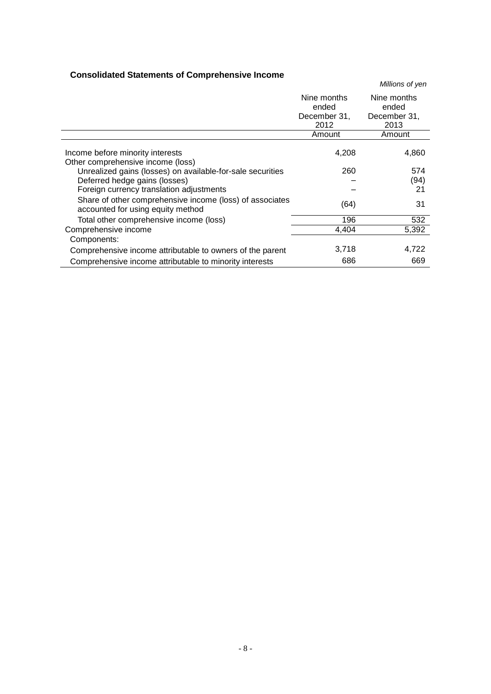## **Consolidated Statements of Comprehensive Income**

|                                                                                                                                         |                                              | Millions of yen                              |
|-----------------------------------------------------------------------------------------------------------------------------------------|----------------------------------------------|----------------------------------------------|
|                                                                                                                                         | Nine months<br>ended<br>December 31,<br>2012 | Nine months<br>ended<br>December 31,<br>2013 |
|                                                                                                                                         | Amount                                       | Amount                                       |
| Income before minority interests<br>Other comprehensive income (loss)                                                                   | 4,208                                        | 4,860                                        |
| Unrealized gains (losses) on available-for-sale securities<br>Deferred hedge gains (losses)<br>Foreign currency translation adjustments | 260                                          | 574<br>(94)<br>21                            |
| Share of other comprehensive income (loss) of associates<br>accounted for using equity method                                           | (64)                                         | 31                                           |
| Total other comprehensive income (loss)                                                                                                 | 196                                          | 532                                          |
| Comprehensive income                                                                                                                    | 4,404                                        | 5,392                                        |
| Components:                                                                                                                             |                                              |                                              |
| Comprehensive income attributable to owners of the parent                                                                               | 3,718                                        | 4,722                                        |
| Comprehensive income attributable to minority interests                                                                                 | 686                                          | 669                                          |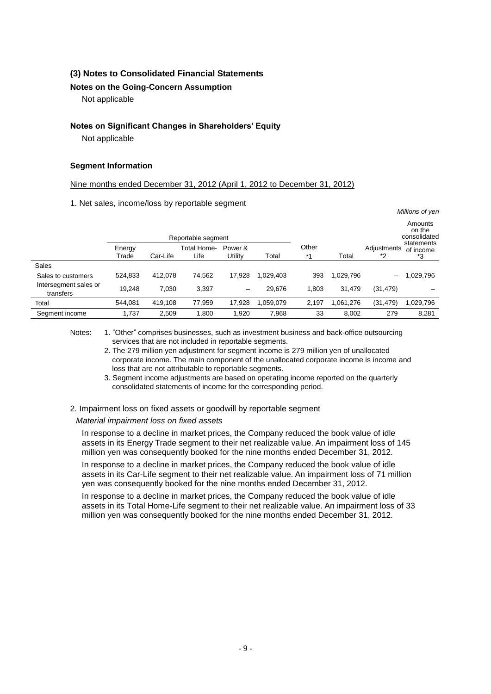## **(3) Notes to Consolidated Financial Statements**

## **Notes on the Going-Concern Assumption**

Not applicable

## **Notes on Significant Changes in Shareholders' Equity**

Not applicable

## **Segment Information**

## Nine months ended December 31, 2012 (April 1, 2012 to December 31, 2012)

1. Net sales, income/loss by reportable segment

|                                    |                    |          |             |                          |           |       |           |                          | Millions of yen                   |
|------------------------------------|--------------------|----------|-------------|--------------------------|-----------|-------|-----------|--------------------------|-----------------------------------|
|                                    | Reportable segment |          |             |                          |           |       |           |                          | Amounts<br>on the<br>consolidated |
|                                    | Energy             |          | Total Home- | Power &                  |           | Other |           | Adjustments              | statements<br>of income           |
|                                    | Trade              | Car-Life | Life        | Utility                  | Total     | $*1$  | Total     | *2                       | *3                                |
| Sales                              |                    |          |             |                          |           |       |           |                          |                                   |
| Sales to customers                 | 524,833            | 412,078  | 74,562      | 17,928                   | 1,029,403 | 393   | 1,029,796 | $\overline{\phantom{m}}$ | 1,029,796                         |
| Intersegment sales or<br>transfers | 19,248             | 7,030    | 3,397       | $\overline{\phantom{m}}$ | 29,676    | 1,803 | 31,479    | (31, 479)                |                                   |
| Total                              | 544,081            | 419,108  | 77,959      | 17.928                   | 1,059,079 | 2.197 | 1,061,276 | (31, 479)                | 1,029,796                         |
| Segment income                     | 1,737              | 2,509    | 1.800       | 1.920                    | 7,968     | 33    | 8,002     | 279                      | 8.281                             |

Notes: 1. "Other" comprises businesses, such as investment business and back-office outsourcing services that are not included in reportable segments.

- 2. The 279 million yen adjustment for segment income is 279 million yen of unallocated corporate income. The main component of the unallocated corporate income is income and loss that are not attributable to reportable segments.
- 3. Segment income adjustments are based on operating income reported on the quarterly consolidated statements of income for the corresponding period.

### 2. Impairment loss on fixed assets or goodwill by reportable segment

### *Material impairment loss on fixed assets*

In response to a decline in market prices, the Company reduced the book value of idle assets in its Energy Trade segment to their net realizable value. An impairment loss of 145 million yen was consequently booked for the nine months ended December 31, 2012.

In response to a decline in market prices, the Company reduced the book value of idle assets in its Car-Life segment to their net realizable value. An impairment loss of 71 million yen was consequently booked for the nine months ended December 31, 2012.

In response to a decline in market prices, the Company reduced the book value of idle assets in its Total Home-Life segment to their net realizable value. An impairment loss of 33 million yen was consequently booked for the nine months ended December 31, 2012.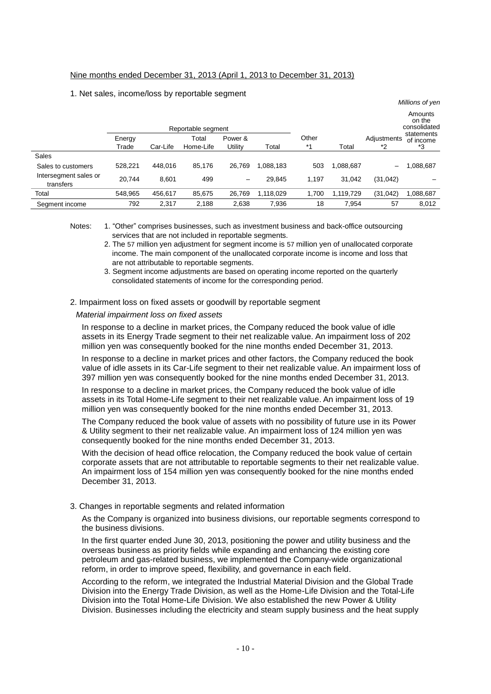### Nine months ended December 31, 2013 (April 1, 2013 to December 31, 2013)

#### 1. Net sales, income/loss by reportable segment

|                                    |                    |          |           |                          |           |       |           |                                   | <u>IVIIIIUIIS UI YUI</u> |
|------------------------------------|--------------------|----------|-----------|--------------------------|-----------|-------|-----------|-----------------------------------|--------------------------|
|                                    | Reportable segment |          |           |                          |           |       |           | Amounts<br>on the<br>consolidated |                          |
|                                    | Energy             |          | Total     | Power &                  |           | Other |           | Adjustments                       | statements<br>of income  |
|                                    | Trade              | Car-Life | Home-Life | Utility                  | Total     | $*1$  | Total     | *2                                | *3                       |
| <b>Sales</b>                       |                    |          |           |                          |           |       |           |                                   |                          |
| Sales to customers                 | 528,221            | 448.016  | 85,176    | 26.769                   | 1,088,183 | 503   | 1,088,687 | —                                 | 1,088,687                |
| Intersegment sales or<br>transfers | 20,744             | 8,601    | 499       | $\overline{\phantom{m}}$ | 29,845    | 1,197 | 31,042    | (31, 042)                         |                          |
| Total                              | 548,965            | 456,617  | 85,675    | 26.769                   | 1,118,029 | 1.700 | 1,119,729 | (31, 042)                         | 1,088,687                |
| Segment income                     | 792                | 2.317    | 2,188     | 2.638                    | 7,936     | 18    | 7.954     | 57                                | 8,012                    |

Notes: 1. "Other" comprises businesses, such as investment business and back-office outsourcing services that are not included in reportable segments.

2. The 57 million yen adjustment for segment income is 57 million yen of unallocated corporate income. The main component of the unallocated corporate income is income and loss that are not attributable to reportable segments.

*Millions of yen*

3. Segment income adjustments are based on operating income reported on the quarterly consolidated statements of income for the corresponding period.

## 2. Impairment loss on fixed assets or goodwill by reportable segment

#### *Material impairment loss on fixed assets*

In response to a decline in market prices, the Company reduced the book value of idle assets in its Energy Trade segment to their net realizable value. An impairment loss of 202 million yen was consequently booked for the nine months ended December 31, 2013.

In response to a decline in market prices and other factors, the Company reduced the book value of idle assets in its Car-Life segment to their net realizable value. An impairment loss of 397 million yen was consequently booked for the nine months ended December 31, 2013.

In response to a decline in market prices, the Company reduced the book value of idle assets in its Total Home-Life segment to their net realizable value. An impairment loss of 19 million yen was consequently booked for the nine months ended December 31, 2013.

The Company reduced the book value of assets with no possibility of future use in its Power & Utility segment to their net realizable value. An impairment loss of 124 million yen was consequently booked for the nine months ended December 31, 2013.

With the decision of head office relocation, the Company reduced the book value of certain corporate assets that are not attributable to reportable segments to their net realizable value. An impairment loss of 154 million yen was consequently booked for the nine months ended December 31, 2013.

### 3. Changes in reportable segments and related information

As the Company is organized into business divisions, our reportable segments correspond to the business divisions.

In the first quarter ended June 30, 2013, positioning the power and utility business and the overseas business as priority fields while expanding and enhancing the existing core petroleum and gas-related business, we implemented the Company-wide organizational reform, in order to improve speed, flexibility, and governance in each field.

According to the reform, we integrated the Industrial Material Division and the Global Trade Division into the Energy Trade Division, as well as the Home-Life Division and the Total-Life Division into the Total Home-Life Division. We also established the new Power & Utility Division. Businesses including the electricity and steam supply business and the heat supply